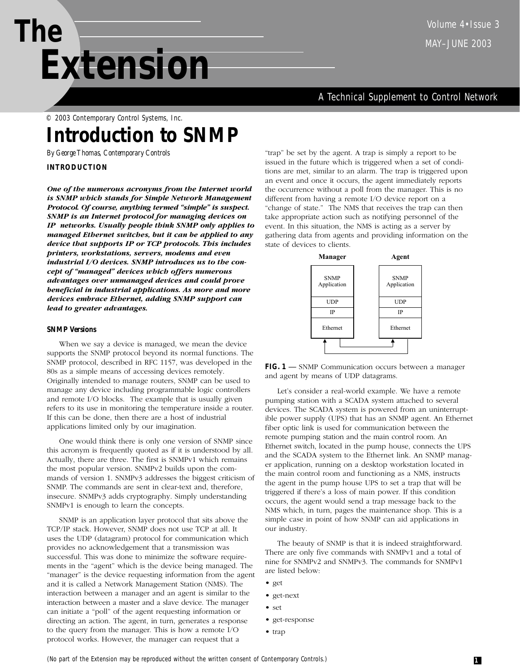# **The** MAY–JUNE 2003 *Extension*

A Technical Supplement to Control Network

© 2003 Contemporary Control Systems, Inc.

# **Introduction to SNMP**

*By George Thomas, Contemporary Controls* 

# **INTRODUCTION**

*One of the numerous acronyms from the Internet world is SNMP which stands for Simple Network Management Protocol. Of course, anything termed "simple" is suspect. SNMP is an Internet protocol for managing devices on IP networks. Usually people think SNMP only applies to managed Ethernet switches, but it can be applied to any device that supports IP or TCP protocols. This includes printers, workstations, servers, modems and even industrial I/O devices. SNMP introduces us to the concept of "managed" devices which offers numerous advantages over unmanaged devices and could prove beneficial in industrial applications. As more and more devices embrace Ethernet, adding SNMP support can lead to greater advantages.*

# **SNMP Versions**

When we say a device is managed, we mean the device supports the SNMP protocol beyond its normal functions. The SNMP protocol, described in RFC 1157, was developed in the 80s as a simple means of accessing devices remotely. Originally intended to manage routers, SNMP can be used to manage any device including programmable logic controllers and remote I/O blocks. The example that is usually given refers to its use in monitoring the temperature inside a router. If this can be done, then there are a host of industrial applications limited only by our imagination.

One would think there is only one version of SNMP since this acronym is frequently quoted as if it is understood by all. Actually, there are three. The first is SNMPv1 which remains the most popular version. SNMPv2 builds upon the commands of version 1. SNMPv3 addresses the biggest criticism of SNMP. The commands are sent in clear-text and, therefore, insecure. SNMPv3 adds cryptography. Simply understanding SNMPv1 is enough to learn the concepts.

SNMP is an application layer protocol that sits above the TCP/IP stack. However, SNMP does not use TCP at all. It uses the UDP (datagram) protocol for communication which provides no acknowledgement that a transmission was successful. This was done to minimize the software requirements in the "agent" which is the device being managed. The "manager" is the device requesting information from the agent and it is called a Network Management Station (NMS). The interaction between a manager and an agent is similar to the interaction between a master and a slave device. The manager can initiate a "poll" of the agent requesting information or directing an action. The agent, in turn, generates a response to the query from the manager. This is how a remote I/O protocol works. However, the manager can request that a

"trap" be set by the agent. A trap is simply a report to be issued in the future which is triggered when a set of conditions are met, similar to an alarm. The trap is triggered upon an event and once it occurs, the agent immediately reports the occurrence without a poll from the manager. This is no different from having a remote I/O device report on a "change of state." The NMS that receives the trap can then take appropriate action such as notifying personnel of the event. In this situation, the NMS is acting as a server by gathering data from agents and providing information on the state of devices to clients.



FIG. 1 - SNMP Communication occurs between a manager and agent by means of UDP datagrams.

Let's consider a real-world example. We have a remote pumping station with a SCADA system attached to several devices. The SCADA system is powered from an uninterruptible power supply (UPS) that has an SNMP agent. An Ethernet fiber optic link is used for communication between the remote pumping station and the main control room. An Ethernet switch, located in the pump house, connects the UPS and the SCADA system to the Ethernet link. An SNMP manager application, running on a desktop workstation located in the main control room and functioning as a NMS, instructs the agent in the pump house UPS to set a trap that will be triggered if there's a loss of main power. If this condition occurs, the agent would send a trap message back to the NMS which, in turn, pages the maintenance shop. This is a simple case in point of how SNMP can aid applications in our industry.

The beauty of SNMP is that it is indeed straightforward. There are only five commands with SNMPv1 and a total of nine for SNMPv2 and SNMPv3. The commands for SNMPv1 are listed below:

- get
- get-next
- set
- get-response
- trap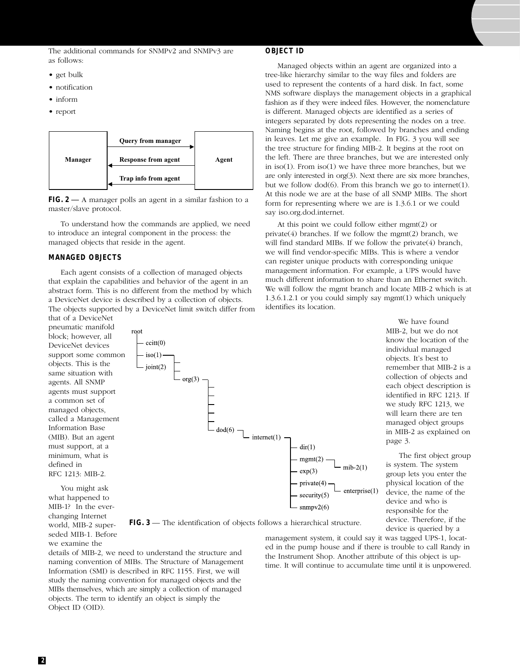The additional commands for SNMPv2 and SNMPv3 are as follows:

#### **OBJECT ID**

- get bulk
- notification
- inform
- report



**FIG. 2** — A manager polls an agent in a similar fashion to a master/slave protocol.

To understand how the commands are applied, we need to introduce an integral component in the process: the managed objects that reside in the agent.

#### **MANAGED OBJECTS**

Each agent consists of a collection of managed objects that explain the capabilities and behavior of the agent in an abstract form. This is no different from the method by which a DeviceNet device is described by a collection of objects. The objects supported by a DeviceNet limit switch differ from

that of a DeviceNet pneumatic manifold block; however, all DeviceNet devices support some common objects. This is the same situation with agents. All SNMP agents must support a common set of managed objects, called a Management Information Base (MIB). But an agent must support, at a minimum, what is defined in RFC 1213: MIB-2.

You might ask what happened to MIB-1? In the everchanging Internet world, MIB-2 superseded MIB-1. Before we examine the

Managed objects within an agent are organized into a tree-like hierarchy similar to the way files and folders are used to represent the contents of a hard disk. In fact, some NMS software displays the management objects in a graphical fashion as if they were indeed files. However, the nomenclature is different. Managed objects are identified as a series of integers separated by dots representing the nodes on a tree. Naming begins at the root, followed by branches and ending in leaves. Let me give an example. In FIG. 3 you will see the tree structure for finding MIB-2. It begins at the root on the left. There are three branches, but we are interested only in iso(1). From iso(1) we have three more branches, but we are only interested in org(3). Next there are six more branches, but we follow dod(6). From this branch we go to internet(1). At this node we are at the base of all SNMP MIBs. The short form for representing where we are is 1.3.6.1 or we could say iso.org.dod.internet.

At this point we could follow either mgmt(2) or private(4) branches. If we follow the mgmt(2) branch, we will find standard MIBs. If we follow the private(4) branch, we will find vendor-specific MIBs. This is where a vendor can register unique products with corresponding unique management information. For example, a UPS would have much different information to share than an Ethernet switch. We will follow the mgmt branch and locate MIB-2 which is at 1.3.6.1.2.1 or you could simply say mgmt(1) which uniquely identifies its location.



We have found MIB-2, but we do not know the location of the individual managed objects. It's best to remember that MIB-2 is a collection of objects and each object description is identified in RFC 1213. If we study RFC 1213, we will learn there are ten managed object groups in MIB-2 as explained on page 3.

The first object group is system. The system group lets you enter the physical location of the device, the name of the device and who is responsible for the device. Therefore, if the device is queried by a

**FIG. 3** — The identification of objects follows a hierarchical structure.

details of MIB-2, we need to understand the structure and naming convention of MIBs. The Structure of Management Information (SMI) is described in RFC 1155. First, we will study the naming convention for managed objects and the MIBs themselves, which are simply a collection of managed objects. The term to identify an object is simply the Object ID (OID).

management system, it could say it was tagged UPS-1, located in the pump house and if there is trouble to call Randy in the Instrument Shop. Another attribute of this object is uptime. It will continue to accumulate time until it is unpowered.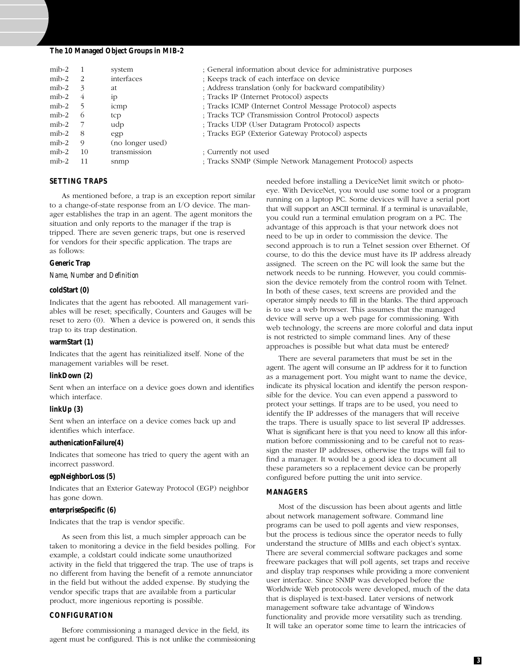#### **The 10 Managed Object Groups in MIB-2**

| $\text{mib-2}$ |          | system           | ; General information about device for administrative purposes |
|----------------|----------|------------------|----------------------------------------------------------------|
| $\text{mib-2}$ | -2       | interfaces       | ; Keeps track of each interface on device                      |
| $\text{mib-2}$ | 3        | at.              | ; Address translation (only for backward compatibility)        |
| $\text{mib-2}$ | 4        | 1 <sub>p</sub>   | ; Tracks IP (Internet Protocol) aspects                        |
| $\text{mib-2}$ | -5       | icmp             | ; Tracks ICMP (Internet Control Message Protocol) aspects      |
| $\text{mib-2}$ | $\sigma$ | tcp              | ; Tracks TCP (Transmission Control Protocol) aspects           |
| $\text{mib-2}$ |          | udp              | ; Tracks UDP (User Datagram Protocol) aspects                  |
| $\text{mib-2}$ | -8       | egp              | ; Tracks EGP (Exterior Gateway Protocol) aspects               |
| $\text{mib-2}$ | 9        | (no longer used) |                                                                |
| $\text{mib-2}$ | 10       | transmission     | ; Currently not used                                           |
| $\text{mib-2}$ | 11       | snmp             | ; Tracks SNMP (Simple Network Management Protocol) aspects     |

#### **SETTING TRAPS**

As mentioned before, a trap is an exception report similar to a change-of-state response from an I/O device. The manager establishes the trap in an agent. The agent monitors the situation and only reports to the manager if the trap is tripped. There are seven generic traps, but one is reserved for vendors for their specific application. The traps are as follows:

#### **Generic Trap**

*Name, Number and Definition*

#### **coldStart (0)**

Indicates that the agent has rebooted. All management variables will be reset; specifically, Counters and Gauges will be reset to zero (0). When a device is powered on, it sends this trap to its trap destination.

#### **warmStart (1)**

Indicates that the agent has reinitialized itself. None of the management variables will be reset.

#### **linkDown (2)**

Sent when an interface on a device goes down and identifies which interface.

#### **linkUp (3)**

Sent when an interface on a device comes back up and identifies which interface.

### **authenicationFailure(4)**

Indicates that someone has tried to query the agent with an incorrect password.

#### **egpNeighborLoss (5)**

Indicates that an Exterior Gateway Protocol (EGP) neighbor has gone down.

#### **enterpriseSpecific (6)**

Indicates that the trap is vendor specific.

As seen from this list, a much simpler approach can be taken to monitoring a device in the field besides polling. For example, a coldstart could indicate some unauthorized activity in the field that triggered the trap. The use of traps is no different from having the benefit of a remote annunciator in the field but without the added expense. By studying the vendor specific traps that are available from a particular product, more ingenious reporting is possible.

#### **CONFIGURATION**

Before commissioning a managed device in the field, its agent must be configured. This is not unlike the commissioning needed before installing a DeviceNet limit switch or photoeye. With DeviceNet, you would use some tool or a program running on a laptop PC. Some devices will have a serial port that will support an ASCII terminal. If a terminal is unavailable, you could run a terminal emulation program on a PC. The advantage of this approach is that your network does not need to be up in order to commission the device. The second approach is to run a Telnet session over Ethernet. Of course, to do this the device must have its IP address already assigned. The screen on the PC will look the same but the network needs to be running. However, you could commission the device remotely from the control room with Telnet. In both of these cases, text screens are provided and the operator simply needs to fill in the blanks. The third approach is to use a web browser. This assumes that the managed device will serve up a web page for commissioning. With web technology, the screens are more colorful and data input is not restricted to simple command lines. Any of these approaches is possible but what data must be entered?

There are several parameters that must be set in the agent. The agent will consume an IP address for it to function as a management port. You might want to name the device, indicate its physical location and identify the person responsible for the device. You can even append a password to protect your settings. If traps are to be used, you need to identify the IP addresses of the managers that will receive the traps. There is usually space to list several IP addresses. What is significant here is that you need to know all this information before commissioning and to be careful not to reassign the master IP addresses, otherwise the traps will fail to find a manager. It would be a good idea to document all these parameters so a replacement device can be properly configured before putting the unit into service.

#### **MANAGERS**

Most of the discussion has been about agents and little about network management software. Command line programs can be used to poll agents and view responses, but the process is tedious since the operator needs to fully understand the structure of MIBs and each object's syntax. There are several commercial software packages and some freeware packages that will poll agents, set traps and receive and display trap responses while providing a more convenient user interface. Since SNMP was developed before the Worldwide Web protocols were developed, much of the data that is displayed is text-based. Later versions of network management software take advantage of Windows functionality and provide more versatility such as trending. It will take an operator some time to learn the intricacies of